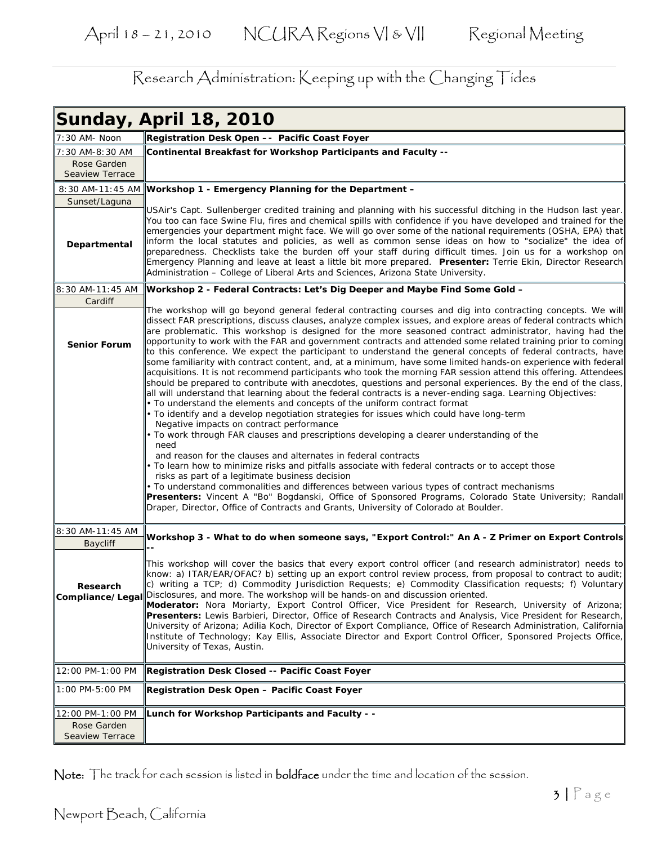|                              | <b>Sunday, April 18, 2010</b>                                                                                                                                                                                                                                                                                                                                                                                                                                                                                                                                                                                                                                                                                                                                                                                                                                                                                                                                                                                                                                                                                                                                                                                                                                                                                                                                                                                                                                                                                                                                                                                                                                                                                                                                                                                                                                                                  |
|------------------------------|------------------------------------------------------------------------------------------------------------------------------------------------------------------------------------------------------------------------------------------------------------------------------------------------------------------------------------------------------------------------------------------------------------------------------------------------------------------------------------------------------------------------------------------------------------------------------------------------------------------------------------------------------------------------------------------------------------------------------------------------------------------------------------------------------------------------------------------------------------------------------------------------------------------------------------------------------------------------------------------------------------------------------------------------------------------------------------------------------------------------------------------------------------------------------------------------------------------------------------------------------------------------------------------------------------------------------------------------------------------------------------------------------------------------------------------------------------------------------------------------------------------------------------------------------------------------------------------------------------------------------------------------------------------------------------------------------------------------------------------------------------------------------------------------------------------------------------------------------------------------------------------------|
| 7:30 AM- Noon                | Registration Desk Open -- Pacific Coast Foyer                                                                                                                                                                                                                                                                                                                                                                                                                                                                                                                                                                                                                                                                                                                                                                                                                                                                                                                                                                                                                                                                                                                                                                                                                                                                                                                                                                                                                                                                                                                                                                                                                                                                                                                                                                                                                                                  |
| 7:30 AM-8:30 AM              | <b>Continental Breakfast for Workshop Participants and Faculty --</b>                                                                                                                                                                                                                                                                                                                                                                                                                                                                                                                                                                                                                                                                                                                                                                                                                                                                                                                                                                                                                                                                                                                                                                                                                                                                                                                                                                                                                                                                                                                                                                                                                                                                                                                                                                                                                          |
| Rose Garden                  |                                                                                                                                                                                                                                                                                                                                                                                                                                                                                                                                                                                                                                                                                                                                                                                                                                                                                                                                                                                                                                                                                                                                                                                                                                                                                                                                                                                                                                                                                                                                                                                                                                                                                                                                                                                                                                                                                                |
| <b>Seaview Terrace</b>       |                                                                                                                                                                                                                                                                                                                                                                                                                                                                                                                                                                                                                                                                                                                                                                                                                                                                                                                                                                                                                                                                                                                                                                                                                                                                                                                                                                                                                                                                                                                                                                                                                                                                                                                                                                                                                                                                                                |
|                              | 8:30 AM-11:45 AM Workshop 1 - Emergency Planning for the Department -                                                                                                                                                                                                                                                                                                                                                                                                                                                                                                                                                                                                                                                                                                                                                                                                                                                                                                                                                                                                                                                                                                                                                                                                                                                                                                                                                                                                                                                                                                                                                                                                                                                                                                                                                                                                                          |
| Sunset/Laguna                |                                                                                                                                                                                                                                                                                                                                                                                                                                                                                                                                                                                                                                                                                                                                                                                                                                                                                                                                                                                                                                                                                                                                                                                                                                                                                                                                                                                                                                                                                                                                                                                                                                                                                                                                                                                                                                                                                                |
| Departmental                 | USAir's Capt. Sullenberger credited training and planning with his successful ditching in the Hudson last year.<br>You too can face Swine Flu, fires and chemical spills with confidence if you have developed and trained for the<br>emergencies your department might face. We will go over some of the national requirements (OSHA, EPA) that<br>inform the local statutes and policies, as well as common sense ideas on how to "socialize" the idea of<br>preparedness. Checklists take the burden off your staff during difficult times. Join us for a workshop on<br>Emergency Planning and leave at least a little bit more prepared. Presenter: Terrie Ekin, Director Research<br>Administration - College of Liberal Arts and Sciences, Arizona State University.                                                                                                                                                                                                                                                                                                                                                                                                                                                                                                                                                                                                                                                                                                                                                                                                                                                                                                                                                                                                                                                                                                                    |
| 8:30 AM-11:45 AM             | ∥Workshop 2 - Federal Contracts: Let's Dig Deeper and Maybe Find Some Gold –                                                                                                                                                                                                                                                                                                                                                                                                                                                                                                                                                                                                                                                                                                                                                                                                                                                                                                                                                                                                                                                                                                                                                                                                                                                                                                                                                                                                                                                                                                                                                                                                                                                                                                                                                                                                                   |
| Cardiff                      |                                                                                                                                                                                                                                                                                                                                                                                                                                                                                                                                                                                                                                                                                                                                                                                                                                                                                                                                                                                                                                                                                                                                                                                                                                                                                                                                                                                                                                                                                                                                                                                                                                                                                                                                                                                                                                                                                                |
| <b>Senior Forum</b>          | The workshop will go beyond general federal contracting courses and dig into contracting concepts. We will<br>dissect FAR prescriptions, discuss clauses, analyze complex issues, and explore areas of federal contracts which<br>are problematic. This workshop is designed for the more seasoned contract administrator, having had the<br>opportunity to work with the FAR and government contracts and attended some related training prior to coming<br>to this conference. We expect the participant to understand the general concepts of federal contracts, have<br>some familiarity with contract content, and, at a minimum, have some limited hands-on experience with federal<br>acquisitions. It is not recommend participants who took the morning FAR session attend this offering. Attendees<br>should be prepared to contribute with anecdotes, questions and personal experiences. By the end of the class,<br>all will understand that learning about the federal contracts is a never-ending saga. Learning Objectives:<br>. To understand the elements and concepts of the uniform contract format<br>. To identify and a develop negotiation strategies for issues which could have long-term<br>Negative impacts on contract performance<br>• To work through FAR clauses and prescriptions developing a clearer understanding of the<br>need<br>and reason for the clauses and alternates in federal contracts<br>• To learn how to minimize risks and pitfalls associate with federal contracts or to accept those<br>risks as part of a legitimate business decision<br>• To understand commonalities and differences between various types of contract mechanisms<br>Presenters: Vincent A "Bo" Bogdanski, Office of Sponsored Programs, Colorado State University; Randall<br>Draper, Director, Office of Contracts and Grants, University of Colorado at Boulder. |
| 8:30 AM-11:45 AM             |                                                                                                                                                                                                                                                                                                                                                                                                                                                                                                                                                                                                                                                                                                                                                                                                                                                                                                                                                                                                                                                                                                                                                                                                                                                                                                                                                                                                                                                                                                                                                                                                                                                                                                                                                                                                                                                                                                |
| <b>Baycliff</b>              | Workshop 3 - What to do when someone says, "Export Control:" An A - Z Primer on Export Controls                                                                                                                                                                                                                                                                                                                                                                                                                                                                                                                                                                                                                                                                                                                                                                                                                                                                                                                                                                                                                                                                                                                                                                                                                                                                                                                                                                                                                                                                                                                                                                                                                                                                                                                                                                                                |
| Research<br>Compliance/Legal | This workshop will cover the basics that every export control officer (and research administrator) needs to<br>know: a) ITAR/EAR/OFAC? b) setting up an export control review process, from proposal to contract to audit;<br>c) writing a TCP; d) Commodity Jurisdiction Requests; e) Commodity Classification requests; f) Voluntary<br>Disclosures, and more. The workshop will be hands-on and discussion oriented.<br>Moderator: Nora Moriarty, Export Control Officer, Vice President for Research, University of Arizona;<br>Presenters: Lewis Barbieri, Director, Office of Research Contracts and Analysis, Vice President for Research,<br>University of Arizona; Adilia Koch, Director of Export Compliance, Office of Research Administration, California<br>Institute of Technology; Kay Ellis, Associate Director and Export Control Officer, Sponsored Projects Office,<br>University of Texas, Austin.                                                                                                                                                                                                                                                                                                                                                                                                                                                                                                                                                                                                                                                                                                                                                                                                                                                                                                                                                                         |
| 12:00 PM-1:00 PM             | Registration Desk Closed -- Pacific Coast Foyer                                                                                                                                                                                                                                                                                                                                                                                                                                                                                                                                                                                                                                                                                                                                                                                                                                                                                                                                                                                                                                                                                                                                                                                                                                                                                                                                                                                                                                                                                                                                                                                                                                                                                                                                                                                                                                                |
| 1:00 PM-5:00 PM              | Registration Desk Open - Pacific Coast Foyer                                                                                                                                                                                                                                                                                                                                                                                                                                                                                                                                                                                                                                                                                                                                                                                                                                                                                                                                                                                                                                                                                                                                                                                                                                                                                                                                                                                                                                                                                                                                                                                                                                                                                                                                                                                                                                                   |
| 12:00 PM-1:00 PM             | Lunch for Workshop Participants and Faculty - -                                                                                                                                                                                                                                                                                                                                                                                                                                                                                                                                                                                                                                                                                                                                                                                                                                                                                                                                                                                                                                                                                                                                                                                                                                                                                                                                                                                                                                                                                                                                                                                                                                                                                                                                                                                                                                                |
| Rose Garden                  |                                                                                                                                                                                                                                                                                                                                                                                                                                                                                                                                                                                                                                                                                                                                                                                                                                                                                                                                                                                                                                                                                                                                                                                                                                                                                                                                                                                                                                                                                                                                                                                                                                                                                                                                                                                                                                                                                                |
| <b>Seaview Terrace</b>       |                                                                                                                                                                                                                                                                                                                                                                                                                                                                                                                                                                                                                                                                                                                                                                                                                                                                                                                                                                                                                                                                                                                                                                                                                                                                                                                                                                                                                                                                                                                                                                                                                                                                                                                                                                                                                                                                                                |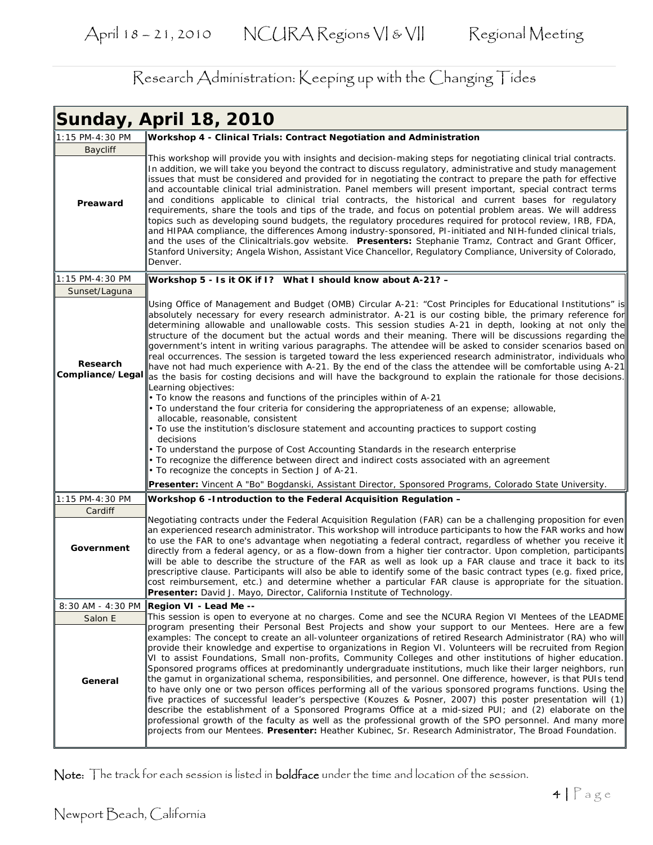|                              | <b>Sunday, April 18, 2010</b>                                                                                                                                                                                                                                                                                                                                                                                                                                                                                                                                                                                                                                                                                                                                                                                                                                                                                                                                                                                                                                                                                                                                                                                                                                |
|------------------------------|--------------------------------------------------------------------------------------------------------------------------------------------------------------------------------------------------------------------------------------------------------------------------------------------------------------------------------------------------------------------------------------------------------------------------------------------------------------------------------------------------------------------------------------------------------------------------------------------------------------------------------------------------------------------------------------------------------------------------------------------------------------------------------------------------------------------------------------------------------------------------------------------------------------------------------------------------------------------------------------------------------------------------------------------------------------------------------------------------------------------------------------------------------------------------------------------------------------------------------------------------------------|
| 1:15 PM-4:30 PM              | Workshop 4 - Clinical Trials: Contract Negotiation and Administration                                                                                                                                                                                                                                                                                                                                                                                                                                                                                                                                                                                                                                                                                                                                                                                                                                                                                                                                                                                                                                                                                                                                                                                        |
| Baycliff                     |                                                                                                                                                                                                                                                                                                                                                                                                                                                                                                                                                                                                                                                                                                                                                                                                                                                                                                                                                                                                                                                                                                                                                                                                                                                              |
| Preaward                     | This workshop will provide you with insights and decision-making steps for negotiating clinical trial contracts.<br>In addition, we will take you beyond the contract to discuss regulatory, administrative and study management<br>issues that must be considered and provided for in negotiating the contract to prepare the path for effective<br>and accountable clinical trial administration. Panel members will present important, special contract terms<br>and conditions applicable to clinical trial contracts, the historical and current bases for regulatory<br>requirements, share the tools and tips of the trade, and focus on potential problem areas. We will address<br>topics such as developing sound budgets, the regulatory procedures required for protocol review, IRB, FDA,<br>and HIPAA compliance, the differences Among industry-sponsored, PI-initiated and NIH-funded clinical trials,<br>and the uses of the Clinicaltrials.gov website. Presenters: Stephanie Tramz, Contract and Grant Officer,<br>Stanford University; Angela Wishon, Assistant Vice Chancellor, Regulatory Compliance, University of Colorado,<br>Denver.                                                                                               |
| 1:15 PM-4:30 PM              | Workshop 5 - Is it OK if I? What I should know about A-21? -                                                                                                                                                                                                                                                                                                                                                                                                                                                                                                                                                                                                                                                                                                                                                                                                                                                                                                                                                                                                                                                                                                                                                                                                 |
| Sunset/Laguna                |                                                                                                                                                                                                                                                                                                                                                                                                                                                                                                                                                                                                                                                                                                                                                                                                                                                                                                                                                                                                                                                                                                                                                                                                                                                              |
| Research<br>Compliance/Legal | Using Office of Management and Budget (OMB) Circular A-21: "Cost Principles for Educational Institutions" is<br>absolutely necessary for every research administrator. A-21 is our costing bible, the primary reference for<br>determining allowable and unallowable costs. This session studies A-21 in depth, looking at not only the<br>structure of the document but the actual words and their meaning. There will be discussions regarding the<br>government's intent in writing various paragraphs. The attendee will be asked to consider scenarios based on<br>real occurrences. The session is targeted toward the less experienced research administrator, individuals who<br>have not had much experience with A-21. By the end of the class the attendee will be comfortable using A-21<br>as the basis for costing decisions and will have the background to explain the rationale for those decisions.<br>Learning objectives:                                                                                                                                                                                                                                                                                                                |
|                              | • To know the reasons and functions of the principles within of A-21                                                                                                                                                                                                                                                                                                                                                                                                                                                                                                                                                                                                                                                                                                                                                                                                                                                                                                                                                                                                                                                                                                                                                                                         |
|                              | • To understand the four criteria for considering the appropriateness of an expense; allowable,                                                                                                                                                                                                                                                                                                                                                                                                                                                                                                                                                                                                                                                                                                                                                                                                                                                                                                                                                                                                                                                                                                                                                              |
|                              | allocable, reasonable, consistent<br>• To use the institution's disclosure statement and accounting practices to support costing                                                                                                                                                                                                                                                                                                                                                                                                                                                                                                                                                                                                                                                                                                                                                                                                                                                                                                                                                                                                                                                                                                                             |
|                              | decisions                                                                                                                                                                                                                                                                                                                                                                                                                                                                                                                                                                                                                                                                                                                                                                                                                                                                                                                                                                                                                                                                                                                                                                                                                                                    |
|                              | • To understand the purpose of Cost Accounting Standards in the research enterprise<br>· To recognize the difference between direct and indirect costs associated with an agreement<br>• To recognize the concepts in Section J of A-21.                                                                                                                                                                                                                                                                                                                                                                                                                                                                                                                                                                                                                                                                                                                                                                                                                                                                                                                                                                                                                     |
|                              | Presenter: Vincent A "Bo" Bogdanski, Assistant Director, Sponsored Programs, Colorado State University.                                                                                                                                                                                                                                                                                                                                                                                                                                                                                                                                                                                                                                                                                                                                                                                                                                                                                                                                                                                                                                                                                                                                                      |
| 1:15 PM-4:30 PM              | Workshop 6 - Introduction to the Federal Acquisition Regulation -                                                                                                                                                                                                                                                                                                                                                                                                                                                                                                                                                                                                                                                                                                                                                                                                                                                                                                                                                                                                                                                                                                                                                                                            |
| Cardiff                      |                                                                                                                                                                                                                                                                                                                                                                                                                                                                                                                                                                                                                                                                                                                                                                                                                                                                                                                                                                                                                                                                                                                                                                                                                                                              |
| Government                   | Negotiating contracts under the Federal Acquisition Regulation (FAR) can be a challenging proposition for even<br>an experienced research administrator. This workshop will introduce participants to how the FAR works and how<br>to use the FAR to one's advantage when negotiating a federal contract, regardless of whether you receive it<br>directly from a federal agency, or as a flow-down from a higher tier contractor. Upon completion, participants<br>will be able to describe the structure of the FAR as well as look up a FAR clause and trace it back to its<br>prescriptive clause. Participants will also be able to identify some of the basic contract types (e.g. fixed price,<br>cost reimbursement, etc.) and determine whether a particular FAR clause is appropriate for the situation.<br><b>Presenter:</b> David J. Mayo, Director, California Institute of Technology.                                                                                                                                                                                                                                                                                                                                                         |
|                              | 8:30 AM - 4:30 PM Region VI - Lead Me --                                                                                                                                                                                                                                                                                                                                                                                                                                                                                                                                                                                                                                                                                                                                                                                                                                                                                                                                                                                                                                                                                                                                                                                                                     |
| Salon E                      | This session is open to everyone at no charges. Come and see the NCURA Region VI Mentees of the LEADME                                                                                                                                                                                                                                                                                                                                                                                                                                                                                                                                                                                                                                                                                                                                                                                                                                                                                                                                                                                                                                                                                                                                                       |
| General                      | program presenting their Personal Best Projects and show your support to our Mentees. Here are a few<br>examples: The concept to create an all-volunteer organizations of retired Research Administrator (RA) who will<br>provide their knowledge and expertise to organizations in Region VI. Volunteers will be recruited from Region<br>VI to assist Foundations, Small non-profits, Community Colleges and other institutions of higher education.<br>Sponsored programs offices at predominantly undergraduate institutions, much like their larger neighbors, run<br>the gamut in organizational schema, responsibilities, and personnel. One difference, however, is that PUIs tend<br>to have only one or two person offices performing all of the various sponsored programs functions. Using the<br>five practices of successful leader's perspective (Kouzes & Posner, 2007) this poster presentation will (1)<br>describe the establishment of a Sponsored Programs Office at a mid-sized PUI; and (2) elaborate on the<br>professional growth of the faculty as well as the professional growth of the SPO personnel. And many more<br>projects from our Mentees. Presenter: Heather Kubinec, Sr. Research Administrator, The Broad Foundation. |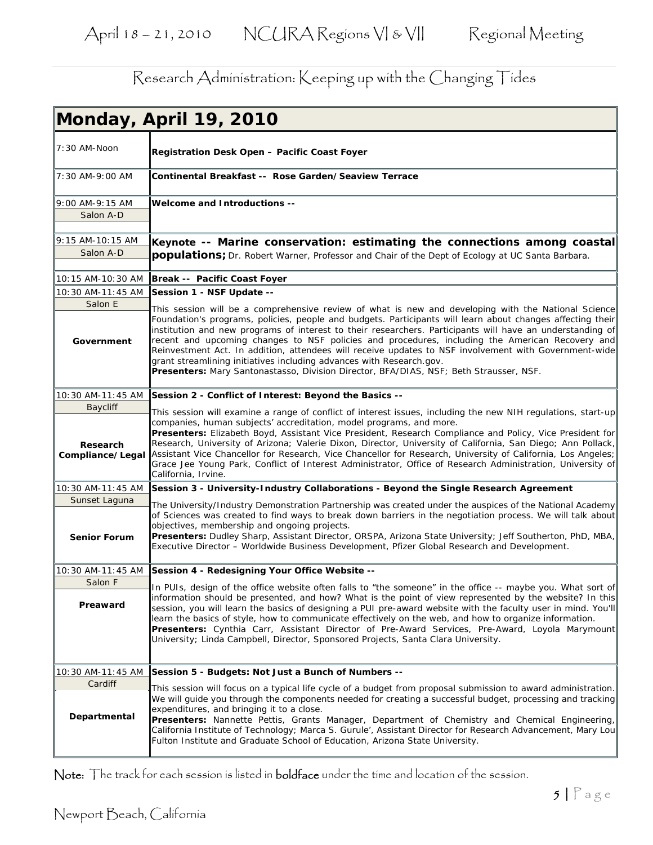|                              | Monday, April 19, 2010                                                                                                                                                                                                                                                                                                                                                                                                                                                                                                                                                                                                                                                                                        |
|------------------------------|---------------------------------------------------------------------------------------------------------------------------------------------------------------------------------------------------------------------------------------------------------------------------------------------------------------------------------------------------------------------------------------------------------------------------------------------------------------------------------------------------------------------------------------------------------------------------------------------------------------------------------------------------------------------------------------------------------------|
| 7:30 AM-Noon                 | Registration Desk Open – Pacific Coast Foyer                                                                                                                                                                                                                                                                                                                                                                                                                                                                                                                                                                                                                                                                  |
| 7:30 AM-9:00 AM              | Continental Breakfast -- Rose Garden/Seaview Terrace                                                                                                                                                                                                                                                                                                                                                                                                                                                                                                                                                                                                                                                          |
| 9:00 AM-9:15 AM              | Welcome and Introductions --                                                                                                                                                                                                                                                                                                                                                                                                                                                                                                                                                                                                                                                                                  |
| Salon A-D                    |                                                                                                                                                                                                                                                                                                                                                                                                                                                                                                                                                                                                                                                                                                               |
| 9:15 AM-10:15 AM             | Keynote -- Marine conservation: estimating the connections among coastal                                                                                                                                                                                                                                                                                                                                                                                                                                                                                                                                                                                                                                      |
| Salon A-D                    | <b>populations</b> ; Dr. Robert Warner, Professor and Chair of the Dept of Ecology at UC Santa Barbara.                                                                                                                                                                                                                                                                                                                                                                                                                                                                                                                                                                                                       |
| 10:15 AM-10:30 AM            | Break -- Pacific Coast Foyer                                                                                                                                                                                                                                                                                                                                                                                                                                                                                                                                                                                                                                                                                  |
| 10:30 AM-11:45 AM            | Session 1 - NSF Update --                                                                                                                                                                                                                                                                                                                                                                                                                                                                                                                                                                                                                                                                                     |
| Salon E<br>Government        | This session will be a comprehensive review of what is new and developing with the National Science<br>Foundation's programs, policies, people and budgets. Participants will learn about changes affecting their<br> institution and new programs of interest to their researchers. Participants will have an understanding of<br>recent and upcoming changes to NSF policies and procedures, including the American Recovery and<br>Reinvestment Act. In addition, attendees will receive updates to NSF involvement with Government-wide<br>grant streamlining initiatives including advances with Research.gov.<br>Presenters: Mary Santonastasso, Division Director, BFA/DIAS, NSF; Beth Strausser, NSF. |
| 10:30 AM-11:45 AM            | Session 2 - Conflict of Interest: Beyond the Basics --                                                                                                                                                                                                                                                                                                                                                                                                                                                                                                                                                                                                                                                        |
| <b>Baycliff</b>              | This session will examine a range of conflict of interest issues, including the new NIH regulations, start-up                                                                                                                                                                                                                                                                                                                                                                                                                                                                                                                                                                                                 |
| Research<br>Compliance/Legal | companies, human subjects' accreditation, model programs, and more.<br>Presenters: Elizabeth Boyd, Assistant Vice President, Research Compliance and Policy, Vice President for<br>Research, University of Arizona; Valerie Dixon, Director, University of California, San Diego; Ann Pollack,<br>Assistant Vice Chancellor for Research, Vice Chancellor for Research, University of California, Los Angeles;<br>Grace Jee Young Park, Conflict of Interest Administrator, Office of Research Administration, University of<br>California, Irvine.                                                                                                                                                           |
| 10:30 AM-11:45 AM            | Session 3 - University-Industry Collaborations - Beyond the Single Research Agreement                                                                                                                                                                                                                                                                                                                                                                                                                                                                                                                                                                                                                         |
| Sunset Laguna                | The University/Industry Demonstration Partnership was created under the auspices of the National Academy                                                                                                                                                                                                                                                                                                                                                                                                                                                                                                                                                                                                      |
| <b>Senior Forum</b>          | of Sciences was created to find ways to break down barriers in the negotiation process. We will talk about<br>objectives, membership and ongoing projects.<br>Presenters: Dudley Sharp, Assistant Director, ORSPA, Arizona State University; Jeff Southerton, PhD, MBA,<br>Executive Director - Worldwide Business Development, Pfizer Global Research and Development.                                                                                                                                                                                                                                                                                                                                       |
| 10:30 AM-11:45 AM            | Session 4 - Redesigning Your Office Website --                                                                                                                                                                                                                                                                                                                                                                                                                                                                                                                                                                                                                                                                |
| Salon F                      | In PUIs, design of the office website often falls to "the someone" in the office -- maybe you. What sort of                                                                                                                                                                                                                                                                                                                                                                                                                                                                                                                                                                                                   |
| Preaward                     | information should be presented, and how? What is the point of view represented by the website? In this<br>session, you will learn the basics of designing a PUI pre-award website with the faculty user in mind. You'll<br>learn the basics of style, how to communicate effectively on the web, and how to organize information.<br>Presenters: Cynthia Carr, Assistant Director of Pre-Award Services, Pre-Award, Loyola Marymount<br>University; Linda Campbell, Director, Sponsored Projects, Santa Clara University.                                                                                                                                                                                    |
| 10:30 AM-11:45 AM            | Session 5 - Budgets: Not Just a Bunch of Numbers --                                                                                                                                                                                                                                                                                                                                                                                                                                                                                                                                                                                                                                                           |
| Cardiff<br>Departmental      | This session will focus on a typical life cycle of a budget from proposal submission to award administration.<br>We will quide you through the components needed for creating a successful budget, processing and tracking<br>expenditures, and bringing it to a close.<br>Presenters: Nannette Pettis, Grants Manager, Department of Chemistry and Chemical Engineering,<br>California Institute of Technology; Marca S. Gurule', Assistant Director for Research Advancement, Mary Lou<br>Fulton Institute and Graduate School of Education, Arizona State University.                                                                                                                                      |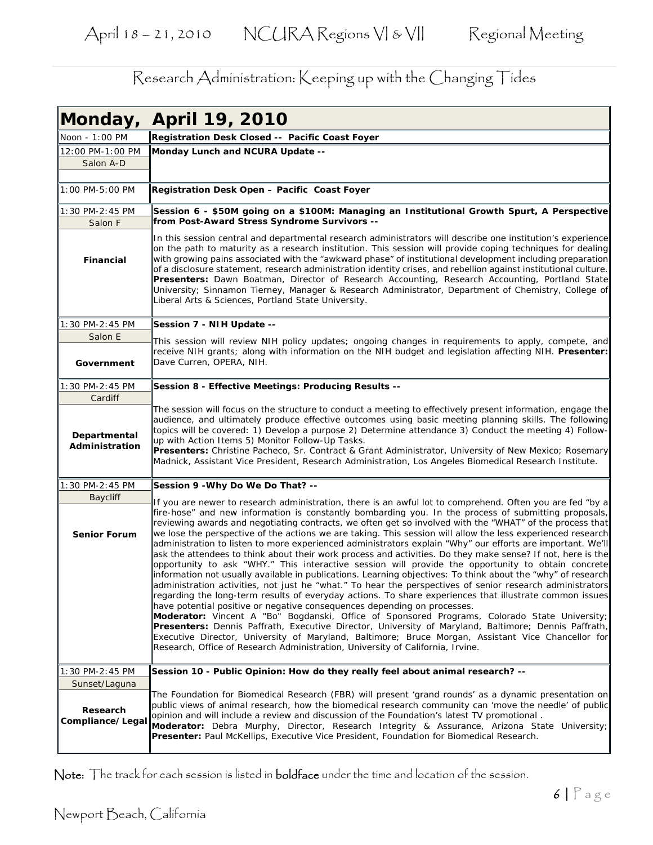|                                | Monday, April 19, 2010                                                                                                                                                                                                                                                                                                                                                                                                                                                                                                                                                                                                                                                                                                                                                                                                                                                                                                                                                                                                                                                                                                                                                                                                                                                                                                                                                                                                                                                                                                                                                                               |
|--------------------------------|------------------------------------------------------------------------------------------------------------------------------------------------------------------------------------------------------------------------------------------------------------------------------------------------------------------------------------------------------------------------------------------------------------------------------------------------------------------------------------------------------------------------------------------------------------------------------------------------------------------------------------------------------------------------------------------------------------------------------------------------------------------------------------------------------------------------------------------------------------------------------------------------------------------------------------------------------------------------------------------------------------------------------------------------------------------------------------------------------------------------------------------------------------------------------------------------------------------------------------------------------------------------------------------------------------------------------------------------------------------------------------------------------------------------------------------------------------------------------------------------------------------------------------------------------------------------------------------------------|
| Noon - 1:00 PM                 | Registration Desk Closed -- Pacific Coast Foyer                                                                                                                                                                                                                                                                                                                                                                                                                                                                                                                                                                                                                                                                                                                                                                                                                                                                                                                                                                                                                                                                                                                                                                                                                                                                                                                                                                                                                                                                                                                                                      |
| 12:00 PM-1:00 PM               | Monday Lunch and NCURA Update --                                                                                                                                                                                                                                                                                                                                                                                                                                                                                                                                                                                                                                                                                                                                                                                                                                                                                                                                                                                                                                                                                                                                                                                                                                                                                                                                                                                                                                                                                                                                                                     |
| Salon A-D                      |                                                                                                                                                                                                                                                                                                                                                                                                                                                                                                                                                                                                                                                                                                                                                                                                                                                                                                                                                                                                                                                                                                                                                                                                                                                                                                                                                                                                                                                                                                                                                                                                      |
| 1:00 PM-5:00 PM                | Registration Desk Open - Pacific Coast Foyer                                                                                                                                                                                                                                                                                                                                                                                                                                                                                                                                                                                                                                                                                                                                                                                                                                                                                                                                                                                                                                                                                                                                                                                                                                                                                                                                                                                                                                                                                                                                                         |
| 1:30 PM-2:45 PM<br>Salon F     | Session 6 - \$50M going on a \$100M: Managing an Institutional Growth Spurt, A Perspective<br>from Post-Award Stress Syndrome Survivors --                                                                                                                                                                                                                                                                                                                                                                                                                                                                                                                                                                                                                                                                                                                                                                                                                                                                                                                                                                                                                                                                                                                                                                                                                                                                                                                                                                                                                                                           |
| Financial                      | In this session central and departmental research administrators will describe one institution's experience<br>on the path to maturity as a research institution. This session will provide coping techniques for dealing<br>with growing pains associated with the "awkward phase" of institutional development including preparation<br>of a disclosure statement, research administration identity crises, and rebellion against institutional culture.<br>Presenters: Dawn Boatman, Director of Research Accounting, Research Accounting, Portland State<br>University; Sinnamon Tierney, Manager & Research Administrator, Department of Chemistry, College of<br>Liberal Arts & Sciences, Portland State University.                                                                                                                                                                                                                                                                                                                                                                                                                                                                                                                                                                                                                                                                                                                                                                                                                                                                           |
| 1:30 PM-2:45 PM                | Session 7 - NIH Update --                                                                                                                                                                                                                                                                                                                                                                                                                                                                                                                                                                                                                                                                                                                                                                                                                                                                                                                                                                                                                                                                                                                                                                                                                                                                                                                                                                                                                                                                                                                                                                            |
| Salon E                        | This session will review NIH policy updates; ongoing changes in requirements to apply, compete, and                                                                                                                                                                                                                                                                                                                                                                                                                                                                                                                                                                                                                                                                                                                                                                                                                                                                                                                                                                                                                                                                                                                                                                                                                                                                                                                                                                                                                                                                                                  |
| Government                     | receive NIH grants; along with information on the NIH budget and legislation affecting NIH. Presenter:<br>Dave Curren, OPERA, NIH.                                                                                                                                                                                                                                                                                                                                                                                                                                                                                                                                                                                                                                                                                                                                                                                                                                                                                                                                                                                                                                                                                                                                                                                                                                                                                                                                                                                                                                                                   |
| 1:30 PM-2:45 PM                | Session 8 - Effective Meetings: Producing Results --                                                                                                                                                                                                                                                                                                                                                                                                                                                                                                                                                                                                                                                                                                                                                                                                                                                                                                                                                                                                                                                                                                                                                                                                                                                                                                                                                                                                                                                                                                                                                 |
| Cardiff                        |                                                                                                                                                                                                                                                                                                                                                                                                                                                                                                                                                                                                                                                                                                                                                                                                                                                                                                                                                                                                                                                                                                                                                                                                                                                                                                                                                                                                                                                                                                                                                                                                      |
| Departmental<br>Administration | The session will focus on the structure to conduct a meeting to effectively present information, engage the<br>audience, and ultimately produce effective outcomes using basic meeting planning skills. The following<br>topics will be covered: 1) Develop a purpose 2) Determine attendance 3) Conduct the meeting 4) Follow-<br>up with Action Items 5) Monitor Follow-Up Tasks.<br>Presenters: Christine Pacheco, Sr. Contract & Grant Administrator, University of New Mexico; Rosemary<br>Madnick, Assistant Vice President, Research Administration, Los Angeles Biomedical Research Institute.                                                                                                                                                                                                                                                                                                                                                                                                                                                                                                                                                                                                                                                                                                                                                                                                                                                                                                                                                                                               |
| 1:30 PM-2:45 PM                | Session 9 - Why Do We Do That? --                                                                                                                                                                                                                                                                                                                                                                                                                                                                                                                                                                                                                                                                                                                                                                                                                                                                                                                                                                                                                                                                                                                                                                                                                                                                                                                                                                                                                                                                                                                                                                    |
| <b>Baycliff</b>                |                                                                                                                                                                                                                                                                                                                                                                                                                                                                                                                                                                                                                                                                                                                                                                                                                                                                                                                                                                                                                                                                                                                                                                                                                                                                                                                                                                                                                                                                                                                                                                                                      |
| <b>Senior Forum</b>            | If you are newer to research administration, there is an awful lot to comprehend. Often you are fed "by a<br>fire-hose" and new information is constantly bombarding you. In the process of submitting proposals,<br>reviewing awards and negotiating contracts, we often get so involved with the "WHAT" of the process that<br>we lose the perspective of the actions we are taking. This session will allow the less experienced research<br>administration to listen to more experienced administrators explain "Why" our efforts are important. We'll<br>ask the attendees to think about their work process and activities. Do they make sense? If not, here is the<br>opportunity to ask "WHY." This interactive session will provide the opportunity to obtain concrete<br>information not usually available in publications. Learning objectives: To think about the "why" of research<br>administration activities, not just he "what." To hear the perspectives of senior research administrators<br>regarding the long-term results of everyday actions. To share experiences that illustrate common issues<br>have potential positive or negative consequences depending on processes.<br>Moderator: Vincent A "Bo" Bogdanski, Office of Sponsored Programs, Colorado State University;<br>Presenters: Dennis Paffrath, Executive Director, University of Maryland, Baltimore; Dennis Paffrath,<br>Executive Director, University of Maryland, Baltimore; Bruce Morgan, Assistant Vice Chancellor for<br>Research, Office of Research Administration, University of California, Irvine. |
| 1:30 PM-2:45 PM                | Session 10 - Public Opinion: How do they really feel about animal research? --                                                                                                                                                                                                                                                                                                                                                                                                                                                                                                                                                                                                                                                                                                                                                                                                                                                                                                                                                                                                                                                                                                                                                                                                                                                                                                                                                                                                                                                                                                                       |
| Sunset/Laguna                  |                                                                                                                                                                                                                                                                                                                                                                                                                                                                                                                                                                                                                                                                                                                                                                                                                                                                                                                                                                                                                                                                                                                                                                                                                                                                                                                                                                                                                                                                                                                                                                                                      |
| Research<br>Compliance/Legal   | The Foundation for Biomedical Research (FBR) will present 'grand rounds' as a dynamic presentation on<br>public views of animal research, how the biomedical research community can 'move the needle' of public<br>opinion and will include a review and discussion of the Foundation's latest TV promotional.<br>Moderator: Debra Murphy, Director, Research Integrity & Assurance, Arizona State University;<br><b>Presenter:</b> Paul McKellips, Executive Vice President, Foundation for Biomedical Research.                                                                                                                                                                                                                                                                                                                                                                                                                                                                                                                                                                                                                                                                                                                                                                                                                                                                                                                                                                                                                                                                                    |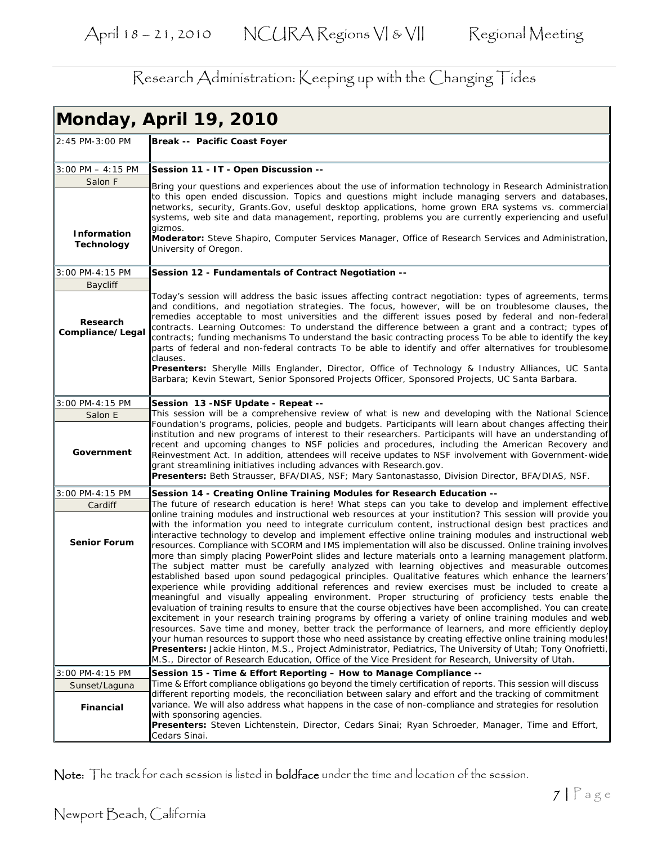|                                             | Monday, April 19, 2010                                                                                                                                                                                                                                                                                                                                                                                                                                                                                                                                                                                                                                                                                                                                                                                                                                                                                                                                                                                                                                                                                                                                                                                                                                                                                                                                                                                                                                                                                                                                                                                                                          |
|---------------------------------------------|-------------------------------------------------------------------------------------------------------------------------------------------------------------------------------------------------------------------------------------------------------------------------------------------------------------------------------------------------------------------------------------------------------------------------------------------------------------------------------------------------------------------------------------------------------------------------------------------------------------------------------------------------------------------------------------------------------------------------------------------------------------------------------------------------------------------------------------------------------------------------------------------------------------------------------------------------------------------------------------------------------------------------------------------------------------------------------------------------------------------------------------------------------------------------------------------------------------------------------------------------------------------------------------------------------------------------------------------------------------------------------------------------------------------------------------------------------------------------------------------------------------------------------------------------------------------------------------------------------------------------------------------------|
| 2:45 PM-3:00 PM                             | Break -- Pacific Coast Foyer                                                                                                                                                                                                                                                                                                                                                                                                                                                                                                                                                                                                                                                                                                                                                                                                                                                                                                                                                                                                                                                                                                                                                                                                                                                                                                                                                                                                                                                                                                                                                                                                                    |
| $3:00$ PM $-4:15$ PM                        | Session 11 - IT - Open Discussion --                                                                                                                                                                                                                                                                                                                                                                                                                                                                                                                                                                                                                                                                                                                                                                                                                                                                                                                                                                                                                                                                                                                                                                                                                                                                                                                                                                                                                                                                                                                                                                                                            |
| Salon F<br>Information<br><b>Technology</b> | Bring your questions and experiences about the use of information technology in Research Administration<br>to this open ended discussion. Topics and questions might include managing servers and databases,<br>networks, security, Grants. Gov, useful desktop applications, home grown ERA systems vs. commercial<br>systems, web site and data management, reporting, problems you are currently experiencing and useful<br>aizmos.<br>Moderator: Steve Shapiro, Computer Services Manager, Office of Research Services and Administration,                                                                                                                                                                                                                                                                                                                                                                                                                                                                                                                                                                                                                                                                                                                                                                                                                                                                                                                                                                                                                                                                                                  |
|                                             | University of Oregon.                                                                                                                                                                                                                                                                                                                                                                                                                                                                                                                                                                                                                                                                                                                                                                                                                                                                                                                                                                                                                                                                                                                                                                                                                                                                                                                                                                                                                                                                                                                                                                                                                           |
| 3:00 PM-4:15 PM                             | Session 12 - Fundamentals of Contract Negotiation --                                                                                                                                                                                                                                                                                                                                                                                                                                                                                                                                                                                                                                                                                                                                                                                                                                                                                                                                                                                                                                                                                                                                                                                                                                                                                                                                                                                                                                                                                                                                                                                            |
| <b>Baycliff</b>                             |                                                                                                                                                                                                                                                                                                                                                                                                                                                                                                                                                                                                                                                                                                                                                                                                                                                                                                                                                                                                                                                                                                                                                                                                                                                                                                                                                                                                                                                                                                                                                                                                                                                 |
| Research<br>Compliance/Legal                | Today's session will address the basic issues affecting contract negotiation: types of agreements, terms<br>and conditions, and negotiation strategies. The focus, however, will be on troublesome clauses, the<br>remedies acceptable to most universities and the different issues posed by federal and non-federal<br>contracts. Learning Outcomes: To understand the difference between a grant and a contract; types of<br>contracts; funding mechanisms To understand the basic contracting process To be able to identify the key<br>parts of federal and non-federal contracts To be able to identify and offer alternatives for troublesome<br>clauses.<br><b>Presenters:</b> Sherylle Mills Englander, Director, Office of Technology & Industry Alliances, UC Santa                                                                                                                                                                                                                                                                                                                                                                                                                                                                                                                                                                                                                                                                                                                                                                                                                                                                  |
|                                             | Barbara; Kevin Stewart, Senior Sponsored Projects Officer, Sponsored Projects, UC Santa Barbara.                                                                                                                                                                                                                                                                                                                                                                                                                                                                                                                                                                                                                                                                                                                                                                                                                                                                                                                                                                                                                                                                                                                                                                                                                                                                                                                                                                                                                                                                                                                                                |
| 3:00 PM-4:15 PM                             | Session 13 -NSF Update - Repeat --                                                                                                                                                                                                                                                                                                                                                                                                                                                                                                                                                                                                                                                                                                                                                                                                                                                                                                                                                                                                                                                                                                                                                                                                                                                                                                                                                                                                                                                                                                                                                                                                              |
| Salon E                                     | This session will be a comprehensive review of what is new and developing with the National Science                                                                                                                                                                                                                                                                                                                                                                                                                                                                                                                                                                                                                                                                                                                                                                                                                                                                                                                                                                                                                                                                                                                                                                                                                                                                                                                                                                                                                                                                                                                                             |
| Government                                  | Foundation's programs, policies, people and budgets. Participants will learn about changes affecting their<br>institution and new programs of interest to their researchers. Participants will have an understanding of<br>recent and upcoming changes to NSF policies and procedures, including the American Recovery and<br>Reinvestment Act. In addition, attendees will receive updates to NSF involvement with Government-wide<br>grant streamlining initiatives including advances with Research.gov.<br>Presenters: Beth Strausser, BFA/DIAS, NSF; Mary Santonastasso, Division Director, BFA/DIAS, NSF.                                                                                                                                                                                                                                                                                                                                                                                                                                                                                                                                                                                                                                                                                                                                                                                                                                                                                                                                                                                                                                 |
| 3:00 PM-4:15 PM                             | Session 14 - Creating Online Training Modules for Research Education --                                                                                                                                                                                                                                                                                                                                                                                                                                                                                                                                                                                                                                                                                                                                                                                                                                                                                                                                                                                                                                                                                                                                                                                                                                                                                                                                                                                                                                                                                                                                                                         |
| Cardiff                                     | The future of research education is here! What steps can you take to develop and implement effective                                                                                                                                                                                                                                                                                                                                                                                                                                                                                                                                                                                                                                                                                                                                                                                                                                                                                                                                                                                                                                                                                                                                                                                                                                                                                                                                                                                                                                                                                                                                            |
| <b>Senior Forum</b>                         | online training modules and instructional web resources at your institution? This session will provide you<br>with the information you need to integrate curriculum content, instructional design best practices and<br>interactive technology to develop and implement effective online training modules and instructional web<br>resources. Compliance with SCORM and IMS implementation will also be discussed. Online training involves<br>more than simply placing PowerPoint slides and lecture materials onto a learning management platform.<br>The subject matter must be carefully analyzed with learning objectives and measurable outcomes<br>established based upon sound pedagogical principles. Qualitative features which enhance the learners'<br>experience while providing additional references and review exercises must be included to create a<br>meaningful and visually appealing environment. Proper structuring of proficiency tests enable the<br>evaluation of training results to ensure that the course objectives have been accomplished. You can create<br>excitement in your research training programs by offering a variety of online training modules and web<br>resources. Save time and money, better track the performance of learners, and more efficiently deploy<br>your human resources to support those who need assistance by creating effective online training modules!<br>Presenters: Jackie Hinton, M.S., Project Administrator, Pediatrics, The University of Utah; Tony Onofrietti,<br>M.S., Director of Research Education, Office of the Vice President for Research, University of Utah. |
| 3:00 PM-4:15 PM                             | Session 15 - Time & Effort Reporting - How to Manage Compliance --                                                                                                                                                                                                                                                                                                                                                                                                                                                                                                                                                                                                                                                                                                                                                                                                                                                                                                                                                                                                                                                                                                                                                                                                                                                                                                                                                                                                                                                                                                                                                                              |
| Sunset/Laguna                               | Time & Effort compliance obligations go beyond the timely certification of reports. This session will discuss<br>different reporting models, the reconciliation between salary and effort and the tracking of commitment                                                                                                                                                                                                                                                                                                                                                                                                                                                                                                                                                                                                                                                                                                                                                                                                                                                                                                                                                                                                                                                                                                                                                                                                                                                                                                                                                                                                                        |
| Financial                                   | variance. We will also address what happens in the case of non-compliance and strategies for resolution<br>with sponsoring agencies.<br>Presenters: Steven Lichtenstein, Director, Cedars Sinai; Ryan Schroeder, Manager, Time and Effort,<br>Cedars Sinai.                                                                                                                                                                                                                                                                                                                                                                                                                                                                                                                                                                                                                                                                                                                                                                                                                                                                                                                                                                                                                                                                                                                                                                                                                                                                                                                                                                                     |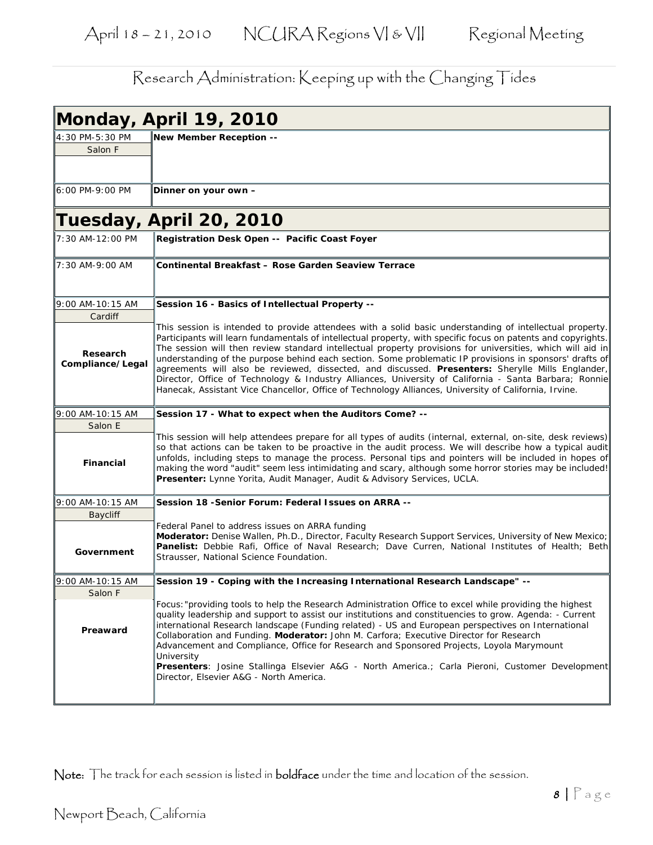| Monday, April 19, 2010       |                                                                                                                                                                                                                                                                                                                                                                                                                                                                                                                                                                                                                                                                                                                                                                           |
|------------------------------|---------------------------------------------------------------------------------------------------------------------------------------------------------------------------------------------------------------------------------------------------------------------------------------------------------------------------------------------------------------------------------------------------------------------------------------------------------------------------------------------------------------------------------------------------------------------------------------------------------------------------------------------------------------------------------------------------------------------------------------------------------------------------|
| 4:30 PM-5:30 PM<br>Salon F   | New Member Reception --                                                                                                                                                                                                                                                                                                                                                                                                                                                                                                                                                                                                                                                                                                                                                   |
| 6:00 PM-9:00 PM              | Dinner on your own –                                                                                                                                                                                                                                                                                                                                                                                                                                                                                                                                                                                                                                                                                                                                                      |
|                              | Tuesday, April 20, 2010                                                                                                                                                                                                                                                                                                                                                                                                                                                                                                                                                                                                                                                                                                                                                   |
| 7:30 AM-12:00 PM             | Registration Desk Open -- Pacific Coast Foyer                                                                                                                                                                                                                                                                                                                                                                                                                                                                                                                                                                                                                                                                                                                             |
| 7:30 AM-9:00 AM              | Continental Breakfast - Rose Garden Seaview Terrace                                                                                                                                                                                                                                                                                                                                                                                                                                                                                                                                                                                                                                                                                                                       |
| 9:00 AM-10:15 AM<br>Cardiff  | Session 16 - Basics of Intellectual Property --                                                                                                                                                                                                                                                                                                                                                                                                                                                                                                                                                                                                                                                                                                                           |
| Research<br>Compliance/Legal | This session is intended to provide attendees with a solid basic understanding of intellectual property.<br>Participants will learn fundamentals of intellectual property, with specific focus on patents and copyrights.<br>The session will then review standard intellectual property provisions for universities, which will aid in<br>understanding of the purpose behind each section. Some problematic IP provisions in sponsors' drafts of<br>agreements will also be reviewed, dissected, and discussed. Presenters: Sherylle Mills Englander,<br>Director, Office of Technology & Industry Alliances, University of California - Santa Barbara; Ronnie<br>Hanecak, Assistant Vice Chancellor, Office of Technology Alliances, University of California, Irvine. |
| 9:00 AM-10:15 AM             | Session 17 - What to expect when the Auditors Come? --                                                                                                                                                                                                                                                                                                                                                                                                                                                                                                                                                                                                                                                                                                                    |
| Salon E                      |                                                                                                                                                                                                                                                                                                                                                                                                                                                                                                                                                                                                                                                                                                                                                                           |
| <b>Financial</b>             | This session will help attendees prepare for all types of audits (internal, external, on-site, desk reviews)<br>so that actions can be taken to be proactive in the audit process. We will describe how a typical audit<br>unfolds, including steps to manage the process. Personal tips and pointers will be included in hopes of<br>making the word "audit" seem less intimidating and scary, although some horror stories may be included!<br>Presenter: Lynne Yorita, Audit Manager, Audit & Advisory Services, UCLA.                                                                                                                                                                                                                                                 |
| 9:00 AM-10:15 AM             | Session 18 - Senior Forum: Federal Issues on ARRA --                                                                                                                                                                                                                                                                                                                                                                                                                                                                                                                                                                                                                                                                                                                      |
| <b>Baycliff</b>              |                                                                                                                                                                                                                                                                                                                                                                                                                                                                                                                                                                                                                                                                                                                                                                           |
| Government                   | Federal Panel to address issues on ARRA funding<br>Moderator: Denise Wallen, Ph.D., Director, Faculty Research Support Services, University of New Mexico;<br>Panelist: Debbie Rafi, Office of Naval Research; Dave Curren, National Institutes of Health; Beth<br>Strausser, National Science Foundation.                                                                                                                                                                                                                                                                                                                                                                                                                                                                |
| 9:00 AM-10:15 AM             | Session 19 - Coping with the Increasing International Research Landscape" --                                                                                                                                                                                                                                                                                                                                                                                                                                                                                                                                                                                                                                                                                              |
| Salon F                      |                                                                                                                                                                                                                                                                                                                                                                                                                                                                                                                                                                                                                                                                                                                                                                           |
| Preaward                     | Focus: "providing tools to help the Research Administration Office to excel while providing the highest<br>quality leadership and support to assist our institutions and constituencies to grow. Agenda: - Current<br>international Research landscape (Funding related) - US and European perspectives on International<br>Collaboration and Funding. Moderator: John M. Carfora; Executive Director for Research<br>Advancement and Compliance, Office for Research and Sponsored Projects, Loyola Marymount<br>University<br>Presenters: Josine Stallinga Elsevier A&G - North America.; Carla Pieroni, Customer Development<br>Director, Elsevier A&G - North America.                                                                                                |
|                              |                                                                                                                                                                                                                                                                                                                                                                                                                                                                                                                                                                                                                                                                                                                                                                           |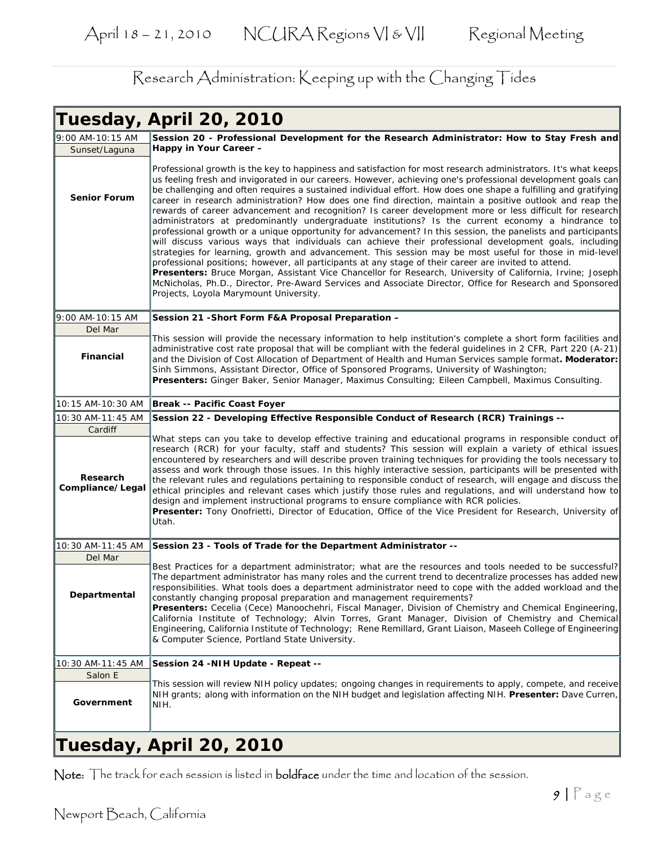|                              | Tuesday, April 20, 2010                                                                                                                                                                                                                                                                                                                                                                                                                                                                                                                                                                                                                                                                                                                                                                                                                                                                                                                                                                                                                                                                                                                                                                                                                                                                                                                                                                           |
|------------------------------|---------------------------------------------------------------------------------------------------------------------------------------------------------------------------------------------------------------------------------------------------------------------------------------------------------------------------------------------------------------------------------------------------------------------------------------------------------------------------------------------------------------------------------------------------------------------------------------------------------------------------------------------------------------------------------------------------------------------------------------------------------------------------------------------------------------------------------------------------------------------------------------------------------------------------------------------------------------------------------------------------------------------------------------------------------------------------------------------------------------------------------------------------------------------------------------------------------------------------------------------------------------------------------------------------------------------------------------------------------------------------------------------------|
| 9:00 AM-10:15 AM             | Session 20 - Professional Development for the Research Administrator: How to Stay Fresh and                                                                                                                                                                                                                                                                                                                                                                                                                                                                                                                                                                                                                                                                                                                                                                                                                                                                                                                                                                                                                                                                                                                                                                                                                                                                                                       |
| Sunset/Laguna                | Happy in Your Career -                                                                                                                                                                                                                                                                                                                                                                                                                                                                                                                                                                                                                                                                                                                                                                                                                                                                                                                                                                                                                                                                                                                                                                                                                                                                                                                                                                            |
| <b>Senior Forum</b>          | Professional growth is the key to happiness and satisfaction for most research administrators. It's what keeps<br>us feeling fresh and invigorated in our careers. However, achieving one's professional development goals can<br>be challenging and often requires a sustained individual effort. How does one shape a fulfilling and gratifying<br>career in research administration? How does one find direction, maintain a positive outlook and reap the<br>rewards of career advancement and recognition? Is career development more or less difficult for research<br>administrators at predominantly undergraduate institutions? Is the current economy a hindrance to<br>professional growth or a unique opportunity for advancement? In this session, the panelists and participants<br>will discuss various ways that individuals can achieve their professional development goals, including<br>strategies for learning, growth and advancement. This session may be most useful for those in mid-level<br>professional positions; however, all participants at any stage of their career are invited to attend.<br>Presenters: Bruce Morgan, Assistant Vice Chancellor for Research, University of California, Irvine; Joseph<br>McNicholas, Ph.D., Director, Pre-Award Services and Associate Director, Office for Research and Sponsored<br>Projects, Loyola Marymount University. |
| 9:00 AM-10:15 AM             | Session 21 - Short Form F&A Proposal Preparation -                                                                                                                                                                                                                                                                                                                                                                                                                                                                                                                                                                                                                                                                                                                                                                                                                                                                                                                                                                                                                                                                                                                                                                                                                                                                                                                                                |
| Del Mar                      |                                                                                                                                                                                                                                                                                                                                                                                                                                                                                                                                                                                                                                                                                                                                                                                                                                                                                                                                                                                                                                                                                                                                                                                                                                                                                                                                                                                                   |
| Financial                    | This session will provide the necessary information to help institution's complete a short form facilities and<br>administrative cost rate proposal that will be compliant with the federal quidelines in 2 CFR, Part 220 (A-21)<br>and the Division of Cost Allocation of Department of Health and Human Services sample format. Moderator:<br>Sinh Simmons, Assistant Director, Office of Sponsored Programs, University of Washington;<br>Presenters: Ginger Baker, Senior Manager, Maximus Consulting; Eileen Campbell, Maximus Consulting.                                                                                                                                                                                                                                                                                                                                                                                                                                                                                                                                                                                                                                                                                                                                                                                                                                                   |
| 10:15 AM-10:30 AM            | Break -- Pacific Coast Foyer                                                                                                                                                                                                                                                                                                                                                                                                                                                                                                                                                                                                                                                                                                                                                                                                                                                                                                                                                                                                                                                                                                                                                                                                                                                                                                                                                                      |
| 10:30 AM-11:45 AM            | Session 22 - Developing Effective Responsible Conduct of Research (RCR) Trainings --                                                                                                                                                                                                                                                                                                                                                                                                                                                                                                                                                                                                                                                                                                                                                                                                                                                                                                                                                                                                                                                                                                                                                                                                                                                                                                              |
| Cardiff                      |                                                                                                                                                                                                                                                                                                                                                                                                                                                                                                                                                                                                                                                                                                                                                                                                                                                                                                                                                                                                                                                                                                                                                                                                                                                                                                                                                                                                   |
| Research<br>Compliance/Legal | What steps can you take to develop effective training and educational programs in responsible conduct of<br>research (RCR) for your faculty, staff and students? This session will explain a variety of ethical issues<br>encountered by researchers and will describe proven training techniques for providing the tools necessary to<br>assess and work through those issues. In this highly interactive session, participants will be presented with<br>the relevant rules and regulations pertaining to responsible conduct of research, will engage and discuss the<br>ethical principles and relevant cases which justify those rules and regulations, and will understand how to<br>design and implement instructional programs to ensure compliance with RCR policies.<br><b>Presenter:</b> Tony Onofrietti, Director of Education, Office of the Vice President for Research, University of<br>Utah.                                                                                                                                                                                                                                                                                                                                                                                                                                                                                     |
| 10:30 AM-11:45 AM            | Session 23 - Tools of Trade for the Department Administrator --                                                                                                                                                                                                                                                                                                                                                                                                                                                                                                                                                                                                                                                                                                                                                                                                                                                                                                                                                                                                                                                                                                                                                                                                                                                                                                                                   |
| Del Mar                      |                                                                                                                                                                                                                                                                                                                                                                                                                                                                                                                                                                                                                                                                                                                                                                                                                                                                                                                                                                                                                                                                                                                                                                                                                                                                                                                                                                                                   |
| Departmental                 | Best Practices for a department administrator; what are the resources and tools needed to be successful?<br>The department administrator has many roles and the current trend to decentralize processes has added new<br>responsibilities. What tools does a department administrator need to cope with the added workload and the<br>constantly changing proposal preparation and management requirements?<br>Presenters: Cecelia (Cece) Manoochehri, Fiscal Manager, Division of Chemistry and Chemical Engineering,<br>California Institute of Technology; Alvin Torres, Grant Manager, Division of Chemistry and Chemical<br>Engineering, California Institute of Technology; Rene Remillard, Grant Liaison, Maseeh College of Engineering<br>& Computer Science, Portland State University.                                                                                                                                                                                                                                                                                                                                                                                                                                                                                                                                                                                                  |
| 10:30 AM-11:45 AM            | Session 24 - NIH Update - Repeat --                                                                                                                                                                                                                                                                                                                                                                                                                                                                                                                                                                                                                                                                                                                                                                                                                                                                                                                                                                                                                                                                                                                                                                                                                                                                                                                                                               |
| Salon E                      |                                                                                                                                                                                                                                                                                                                                                                                                                                                                                                                                                                                                                                                                                                                                                                                                                                                                                                                                                                                                                                                                                                                                                                                                                                                                                                                                                                                                   |
| Government                   | This session will review NIH policy updates; ongoing changes in requirements to apply, compete, and receive<br>NIH grants; along with information on the NIH budget and legislation affecting NIH. Presenter: Dave Curren,<br>NIH.                                                                                                                                                                                                                                                                                                                                                                                                                                                                                                                                                                                                                                                                                                                                                                                                                                                                                                                                                                                                                                                                                                                                                                |
|                              | $T_{II}$ code $\mu$ April 20 2010                                                                                                                                                                                                                                                                                                                                                                                                                                                                                                                                                                                                                                                                                                                                                                                                                                                                                                                                                                                                                                                                                                                                                                                                                                                                                                                                                                 |

## *Tuesday, April 20, 2010*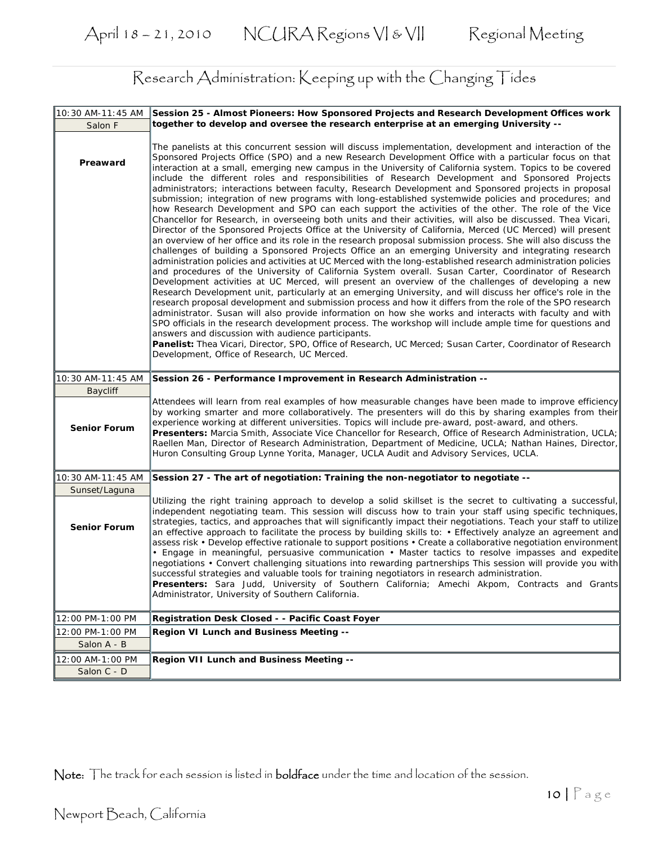| 10:30 AM-11:45 AM   | Session 25 - Almost Pioneers: How Sponsored Projects and Research Development Offices work                                                                                                                                                                                                                                                                                                                                                                                                                                                                                                                                                                                                                                                                                                                                                                                                                                                                                                                                                                                                                                                                                                                                                                                                                                                                                                                                                                                                                                                                                                                                                                                                                                                                                                                                                                                                                                                                                                                                                                                                                                                                                                                                 |
|---------------------|----------------------------------------------------------------------------------------------------------------------------------------------------------------------------------------------------------------------------------------------------------------------------------------------------------------------------------------------------------------------------------------------------------------------------------------------------------------------------------------------------------------------------------------------------------------------------------------------------------------------------------------------------------------------------------------------------------------------------------------------------------------------------------------------------------------------------------------------------------------------------------------------------------------------------------------------------------------------------------------------------------------------------------------------------------------------------------------------------------------------------------------------------------------------------------------------------------------------------------------------------------------------------------------------------------------------------------------------------------------------------------------------------------------------------------------------------------------------------------------------------------------------------------------------------------------------------------------------------------------------------------------------------------------------------------------------------------------------------------------------------------------------------------------------------------------------------------------------------------------------------------------------------------------------------------------------------------------------------------------------------------------------------------------------------------------------------------------------------------------------------------------------------------------------------------------------------------------------------|
| Salon F             | together to develop and oversee the research enterprise at an emerging University --                                                                                                                                                                                                                                                                                                                                                                                                                                                                                                                                                                                                                                                                                                                                                                                                                                                                                                                                                                                                                                                                                                                                                                                                                                                                                                                                                                                                                                                                                                                                                                                                                                                                                                                                                                                                                                                                                                                                                                                                                                                                                                                                       |
| Preaward            | The panelists at this concurrent session will discuss implementation, development and interaction of the<br>Sponsored Projects Office (SPO) and a new Research Development Office with a particular focus on that<br>interaction at a small, emerging new campus in the University of California system. Topics to be covered<br>include the different roles and responsibilities of Research Development and Sponsored Projects<br>administrators; interactions between faculty, Research Development and Sponsored projects in proposal<br>submission; integration of new programs with long-established systemwide policies and procedures; and<br>how Research Development and SPO can each support the activities of the other. The role of the Vice<br>Chancellor for Research, in overseeing both units and their activities, will also be discussed. Thea Vicari,<br>Director of the Sponsored Projects Office at the University of California, Merced (UC Merced) will present<br>an overview of her office and its role in the research proposal submission process. She will also discuss the<br>challenges of building a Sponsored Projects Office an an emerging University and integrating research<br>administration policies and activities at UC Merced with the long-established research administration policies<br>and procedures of the University of California System overall. Susan Carter, Coordinator of Research<br>Development activities at UC Merced, will present an overview of the challenges of developing a new<br>Research Development unit, particularly at an emerging University, and will discuss her office's role in the<br>research proposal development and submission process and how it differs from the role of the SPO research<br>administrator. Susan will also provide information on how she works and interacts with faculty and with<br>SPO officials in the research development process. The workshop will include ample time for questions and<br>answers and discussion with audience participants.<br>Panelist: Thea Vicari, Director, SPO, Office of Research, UC Merced; Susan Carter, Coordinator of Research<br>Development, Office of Research, UC Merced. |
| 10:30 AM-11:45 AM   | Session 26 - Performance Improvement in Research Administration --                                                                                                                                                                                                                                                                                                                                                                                                                                                                                                                                                                                                                                                                                                                                                                                                                                                                                                                                                                                                                                                                                                                                                                                                                                                                                                                                                                                                                                                                                                                                                                                                                                                                                                                                                                                                                                                                                                                                                                                                                                                                                                                                                         |
| Baycliff            |                                                                                                                                                                                                                                                                                                                                                                                                                                                                                                                                                                                                                                                                                                                                                                                                                                                                                                                                                                                                                                                                                                                                                                                                                                                                                                                                                                                                                                                                                                                                                                                                                                                                                                                                                                                                                                                                                                                                                                                                                                                                                                                                                                                                                            |
| <b>Senior Forum</b> | Attendees will learn from real examples of how measurable changes have been made to improve efficiency<br>by working smarter and more collaboratively. The presenters will do this by sharing examples from their<br>experience working at different universities. Topics will include pre-award, post-award, and others.<br>Presenters: Marcia Smith, Associate Vice Chancellor for Research, Office of Research Administration, UCLA;<br>Raellen Man, Director of Research Administration, Department of Medicine, UCLA; Nathan Haines, Director,<br>Huron Consulting Group Lynne Yorita, Manager, UCLA Audit and Advisory Services, UCLA.                                                                                                                                                                                                                                                                                                                                                                                                                                                                                                                                                                                                                                                                                                                                                                                                                                                                                                                                                                                                                                                                                                                                                                                                                                                                                                                                                                                                                                                                                                                                                                               |
| 10:30 AM-11:45 AM   | Session 27 - The art of negotiation: Training the non-negotiator to negotiate --                                                                                                                                                                                                                                                                                                                                                                                                                                                                                                                                                                                                                                                                                                                                                                                                                                                                                                                                                                                                                                                                                                                                                                                                                                                                                                                                                                                                                                                                                                                                                                                                                                                                                                                                                                                                                                                                                                                                                                                                                                                                                                                                           |
| Sunset/Laguna       |                                                                                                                                                                                                                                                                                                                                                                                                                                                                                                                                                                                                                                                                                                                                                                                                                                                                                                                                                                                                                                                                                                                                                                                                                                                                                                                                                                                                                                                                                                                                                                                                                                                                                                                                                                                                                                                                                                                                                                                                                                                                                                                                                                                                                            |
| <b>Senior Forum</b> | Utilizing the right training approach to develop a solid skillset is the secret to cultivating a successful,<br>independent negotiating team. This session will discuss how to train your staff using specific techniques,<br>strategies, tactics, and approaches that will significantly impact their negotiations. Teach your staff to utilize<br>an effective approach to facilitate the process by building skills to: • Effectively analyze an agreement and<br>assess risk • Develop effective rationale to support positions • Create a collaborative negotiation environment<br>• Engage in meaningful, persuasive communication • Master tactics to resolve impasses and expedite<br>negotiations • Convert challenging situations into rewarding partnerships This session will provide you with<br>successful strategies and valuable tools for training negotiators in research administration.<br>Presenters: Sara Judd, University of Southern California; Amechi Akpom, Contracts and Grants<br>Administrator, University of Southern California.                                                                                                                                                                                                                                                                                                                                                                                                                                                                                                                                                                                                                                                                                                                                                                                                                                                                                                                                                                                                                                                                                                                                                           |
| 12:00 PM-1:00 PM    | Registration Desk Closed - - Pacific Coast Foyer                                                                                                                                                                                                                                                                                                                                                                                                                                                                                                                                                                                                                                                                                                                                                                                                                                                                                                                                                                                                                                                                                                                                                                                                                                                                                                                                                                                                                                                                                                                                                                                                                                                                                                                                                                                                                                                                                                                                                                                                                                                                                                                                                                           |
| 12:00 PM-1:00 PM    | Region VI Lunch and Business Meeting --                                                                                                                                                                                                                                                                                                                                                                                                                                                                                                                                                                                                                                                                                                                                                                                                                                                                                                                                                                                                                                                                                                                                                                                                                                                                                                                                                                                                                                                                                                                                                                                                                                                                                                                                                                                                                                                                                                                                                                                                                                                                                                                                                                                    |
| Salon A - B         |                                                                                                                                                                                                                                                                                                                                                                                                                                                                                                                                                                                                                                                                                                                                                                                                                                                                                                                                                                                                                                                                                                                                                                                                                                                                                                                                                                                                                                                                                                                                                                                                                                                                                                                                                                                                                                                                                                                                                                                                                                                                                                                                                                                                                            |
| 12:00 AM-1:00 PM    | Region VII Lunch and Business Meeting --                                                                                                                                                                                                                                                                                                                                                                                                                                                                                                                                                                                                                                                                                                                                                                                                                                                                                                                                                                                                                                                                                                                                                                                                                                                                                                                                                                                                                                                                                                                                                                                                                                                                                                                                                                                                                                                                                                                                                                                                                                                                                                                                                                                   |
| Salon C - D         |                                                                                                                                                                                                                                                                                                                                                                                                                                                                                                                                                                                                                                                                                                                                                                                                                                                                                                                                                                                                                                                                                                                                                                                                                                                                                                                                                                                                                                                                                                                                                                                                                                                                                                                                                                                                                                                                                                                                                                                                                                                                                                                                                                                                                            |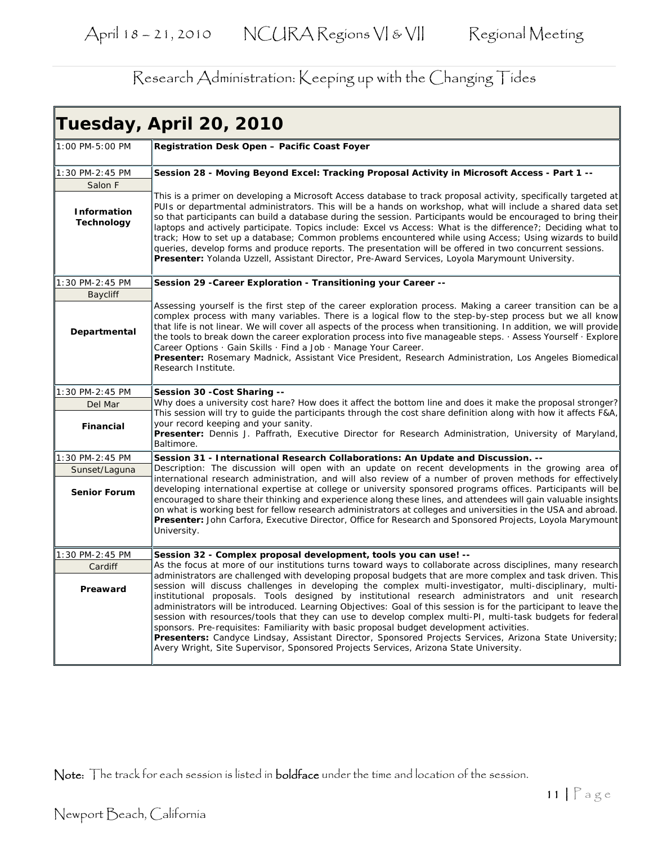|                                         | Tuesday, April 20, 2010                                                                                                                                                                                                                                                                                                                                                                                                                                                                                                                                                                                                                                                                                                                                                                                                                                        |
|-----------------------------------------|----------------------------------------------------------------------------------------------------------------------------------------------------------------------------------------------------------------------------------------------------------------------------------------------------------------------------------------------------------------------------------------------------------------------------------------------------------------------------------------------------------------------------------------------------------------------------------------------------------------------------------------------------------------------------------------------------------------------------------------------------------------------------------------------------------------------------------------------------------------|
| 1:00 PM-5:00 PM                         | Registration Desk Open - Pacific Coast Foyer                                                                                                                                                                                                                                                                                                                                                                                                                                                                                                                                                                                                                                                                                                                                                                                                                   |
| 1:30 PM-2:45 PM                         | Session 28 - Moving Beyond Excel: Tracking Proposal Activity in Microsoft Access - Part 1 --                                                                                                                                                                                                                                                                                                                                                                                                                                                                                                                                                                                                                                                                                                                                                                   |
| Salon F                                 |                                                                                                                                                                                                                                                                                                                                                                                                                                                                                                                                                                                                                                                                                                                                                                                                                                                                |
| <b>Information</b><br><b>Technology</b> | This is a primer on developing a Microsoft Access database to track proposal activity, specifically targeted at<br>PUIs or departmental administrators. This will be a hands on workshop, what will include a shared data set<br>so that participants can build a database during the session. Participants would be encouraged to bring their<br>laptops and actively participate. Topics include: Excel vs Access: What is the difference?; Deciding what to<br>track; How to set up a database; Common problems encountered while using Access; Using wizards to build<br>queries, develop forms and produce reports. The presentation will be offered in two concurrent sessions.<br>Presenter: Yolanda Uzzell, Assistant Director, Pre-Award Services, Loyola Marymount University.                                                                       |
| 1:30 PM-2:45 PM                         | Session 29 - Career Exploration - Transitioning your Career --                                                                                                                                                                                                                                                                                                                                                                                                                                                                                                                                                                                                                                                                                                                                                                                                 |
| <b>Baycliff</b>                         |                                                                                                                                                                                                                                                                                                                                                                                                                                                                                                                                                                                                                                                                                                                                                                                                                                                                |
| Departmental                            | Assessing yourself is the first step of the career exploration process. Making a career transition can be a<br>complex process with many variables. There is a logical flow to the step-by-step process but we all know<br>that life is not linear. We will cover all aspects of the process when transitioning. In addition, we will provide<br>the tools to break down the career exploration process into five manageable steps. Assess Yourself · Explore<br>Career Options · Gain Skills · Find a Job · Manage Your Career.<br>Presenter: Rosemary Madnick, Assistant Vice President, Research Administration, Los Angeles Biomedical<br>Research Institute.                                                                                                                                                                                              |
| 1:30 PM-2:45 PM                         | Session 30 - Cost Sharing --                                                                                                                                                                                                                                                                                                                                                                                                                                                                                                                                                                                                                                                                                                                                                                                                                                   |
| Del Mar                                 | Why does a university cost hare? How does it affect the bottom line and does it make the proposal stronger?<br>This session will try to guide the participants through the cost share definition along with how it affects F&A,                                                                                                                                                                                                                                                                                                                                                                                                                                                                                                                                                                                                                                |
| <b>Financial</b>                        | your record keeping and your sanity.<br>Presenter: Dennis J. Paffrath, Executive Director for Research Administration, University of Maryland,<br>Baltimore.                                                                                                                                                                                                                                                                                                                                                                                                                                                                                                                                                                                                                                                                                                   |
| 1:30 PM-2:45 PM                         | Session 31 - International Research Collaborations: An Update and Discussion. --                                                                                                                                                                                                                                                                                                                                                                                                                                                                                                                                                                                                                                                                                                                                                                               |
| Sunset/Laguna                           | Description: The discussion will open with an update on recent developments in the growing area of                                                                                                                                                                                                                                                                                                                                                                                                                                                                                                                                                                                                                                                                                                                                                             |
| <b>Senior Forum</b>                     | international research administration, and will also review of a number of proven methods for effectively<br>developing international expertise at college or university sponsored programs offices. Participants will be<br>encouraged to share their thinking and experience along these lines, and attendees will gain valuable insights<br>on what is working best for fellow research administrators at colleges and universities in the USA and abroad.<br>Presenter: John Carfora, Executive Director, Office for Research and Sponsored Projects, Loyola Marymount<br>University.                                                                                                                                                                                                                                                                      |
| 1:30 PM-2:45 PM                         | Session 32 - Complex proposal development, tools you can use! --                                                                                                                                                                                                                                                                                                                                                                                                                                                                                                                                                                                                                                                                                                                                                                                               |
| Cardiff                                 | As the focus at more of our institutions turns toward ways to collaborate across disciplines, many research                                                                                                                                                                                                                                                                                                                                                                                                                                                                                                                                                                                                                                                                                                                                                    |
| Preaward                                | administrators are challenged with developing proposal budgets that are more complex and task driven. This<br>session will discuss challenges in developing the complex multi-investigator, multi-disciplinary, multi-<br>institutional proposals. Tools designed by institutional research administrators and unit research<br>administrators will be introduced. Learning Objectives: Goal of this session is for the participant to leave the<br>session with resources/tools that they can use to develop complex multi-PI, multi-task budgets for federal<br>sponsors. Pre-requisites: Familiarity with basic proposal budget development activities.<br>Presenters: Candyce Lindsay, Assistant Director, Sponsored Projects Services, Arizona State University;<br>Avery Wright, Site Supervisor, Sponsored Projects Services, Arizona State University. |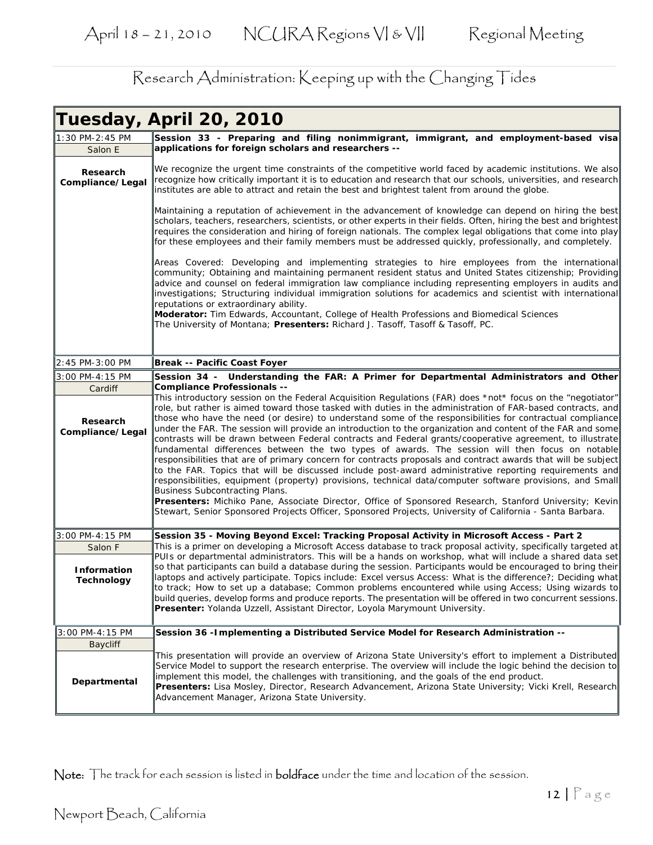|                                                                | Tuesday, April 20, 2010                                                                                                                                                                                                                                                                                                                                                                                                                                                                                                                                                                                                                                                                                                                                                                                                                                                                                                                                                                                                                                                                                                                                                                                                                                                 |
|----------------------------------------------------------------|-------------------------------------------------------------------------------------------------------------------------------------------------------------------------------------------------------------------------------------------------------------------------------------------------------------------------------------------------------------------------------------------------------------------------------------------------------------------------------------------------------------------------------------------------------------------------------------------------------------------------------------------------------------------------------------------------------------------------------------------------------------------------------------------------------------------------------------------------------------------------------------------------------------------------------------------------------------------------------------------------------------------------------------------------------------------------------------------------------------------------------------------------------------------------------------------------------------------------------------------------------------------------|
| 1:30 PM-2:45 PM<br>Salon E                                     | Session 33 - Preparing and filing nonimmigrant, immigrant, and employment-based visa<br>applications for foreign scholars and researchers --                                                                                                                                                                                                                                                                                                                                                                                                                                                                                                                                                                                                                                                                                                                                                                                                                                                                                                                                                                                                                                                                                                                            |
| Research<br>Compliance/Legal                                   | We recognize the urgent time constraints of the competitive world faced by academic institutions. We also<br>recognize how critically important it is to education and research that our schools, universities, and research<br>institutes are able to attract and retain the best and brightest talent from around the globe.                                                                                                                                                                                                                                                                                                                                                                                                                                                                                                                                                                                                                                                                                                                                                                                                                                                                                                                                          |
|                                                                | Maintaining a reputation of achievement in the advancement of knowledge can depend on hiring the best<br>scholars, teachers, researchers, scientists, or other experts in their fields. Often, hiring the best and brightest<br>requires the consideration and hiring of foreign nationals. The complex legal obligations that come into play<br>for these employees and their family members must be addressed quickly, professionally, and completely.                                                                                                                                                                                                                                                                                                                                                                                                                                                                                                                                                                                                                                                                                                                                                                                                                |
|                                                                | Areas Covered: Developing and implementing strategies to hire employees from the international<br>community; Obtaining and maintaining permanent resident status and United States citizenship; Providing<br>advice and counsel on federal immigration law compliance including representing employers in audits and<br>linvestigations; Structuring individual immigration solutions for academics and scientist with international<br>reputations or extraordinary ability.<br>Moderator: Tim Edwards, Accountant, College of Health Professions and Biomedical Sciences<br>The University of Montana; <i>Presenters:</i> Richard J. Tasoff, Tasoff & Tasoff, PC.                                                                                                                                                                                                                                                                                                                                                                                                                                                                                                                                                                                                     |
| 2:45 PM-3:00 PM                                                | Break -- Pacific Coast Foyer                                                                                                                                                                                                                                                                                                                                                                                                                                                                                                                                                                                                                                                                                                                                                                                                                                                                                                                                                                                                                                                                                                                                                                                                                                            |
| 3:00 PM-4:15 PM                                                | Session 34 - Understanding the FAR: A Primer for Departmental Administrators and Other                                                                                                                                                                                                                                                                                                                                                                                                                                                                                                                                                                                                                                                                                                                                                                                                                                                                                                                                                                                                                                                                                                                                                                                  |
| Cardiff                                                        | <b>Compliance Professionals --</b>                                                                                                                                                                                                                                                                                                                                                                                                                                                                                                                                                                                                                                                                                                                                                                                                                                                                                                                                                                                                                                                                                                                                                                                                                                      |
| Research<br>Compliance/Legal                                   | This introductory session on the Federal Acquisition Regulations (FAR) does *not* focus on the "negotiator"<br>role, but rather is aimed toward those tasked with duties in the administration of FAR-based contracts, and<br>those who have the need (or desire) to understand some of the responsibilities for contractual compliance<br>under the FAR. The session will provide an introduction to the organization and content of the FAR and some<br>contrasts will be drawn between Federal contracts and Federal grants/cooperative agreement, to illustrate<br>fundamental differences between the two types of awards. The session will then focus on notable<br>responsibilities that are of primary concern for contracts proposals and contract awards that will be subject<br>to the FAR. Topics that will be discussed include post-award administrative reporting requirements and<br>responsibilities, equipment (property) provisions, technical data/computer software provisions, and Small<br>Business Subcontracting Plans.<br>Presenters: Michiko Pane, Associate Director, Office of Sponsored Research, Stanford University; Kevin<br>Stewart, Senior Sponsored Projects Officer, Sponsored Projects, University of California - Santa Barbara. |
| 3:00 PM-4:15 PM<br>Salon F<br><b>Information</b><br>Technology | Session 35 - Moving Beyond Excel: Tracking Proposal Activity in Microsoft Access - Part 2<br>This is a primer on developing a Microsoft Access database to track proposal activity, specifically targeted at<br>PUIs or departmental administrators. This will be a hands on workshop, what will include a shared data set<br>so that participants can build a database during the session. Participants would be encouraged to bring their<br>laptops and actively participate. Topics include: Excel versus Access: What is the difference?; Deciding what<br>to track; How to set up a database; Common problems encountered while using Access; Using wizards to<br>build queries, develop forms and produce reports. The presentation will be offered in two concurrent sessions.<br>Presenter: Yolanda Uzzell, Assistant Director, Loyola Marymount University.                                                                                                                                                                                                                                                                                                                                                                                                   |
| 3:00 PM-4:15 PM                                                | Session 36 - Implementing a Distributed Service Model for Research Administration --                                                                                                                                                                                                                                                                                                                                                                                                                                                                                                                                                                                                                                                                                                                                                                                                                                                                                                                                                                                                                                                                                                                                                                                    |
| <b>Baycliff</b><br>Departmental                                | This presentation will provide an overview of Arizona State University's effort to implement a Distributed<br>Service Model to support the research enterprise. The overview will include the logic behind the decision to<br>implement this model, the challenges with transitioning, and the goals of the end product.<br>Presenters: Lisa Mosley, Director, Research Advancement, Arizona State University; Vicki Krell, Research<br>Advancement Manager, Arizona State University.                                                                                                                                                                                                                                                                                                                                                                                                                                                                                                                                                                                                                                                                                                                                                                                  |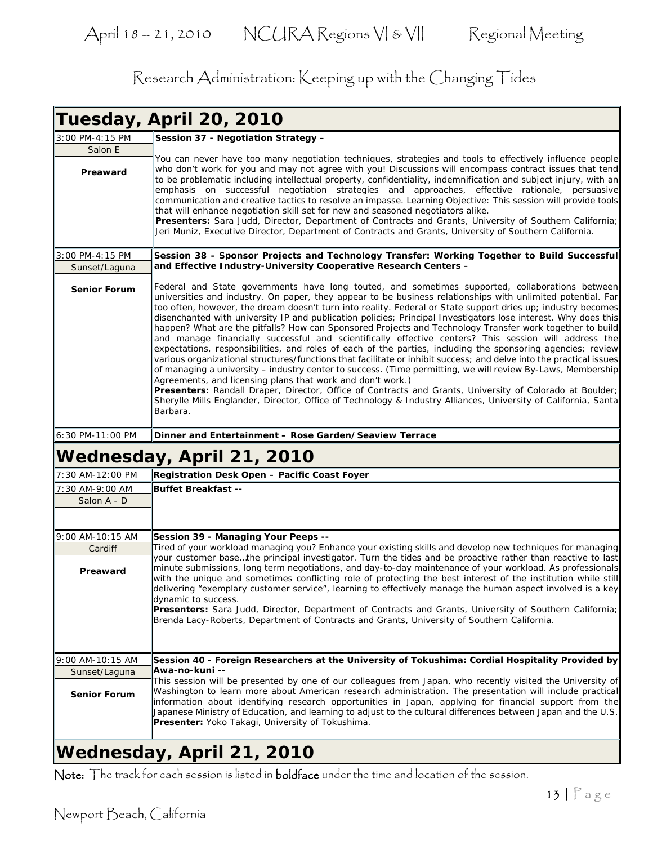|                     | Tuesday, April 20, 2010                                                                                                                                                                                                                                                                                                                                                                                                                                                                                                                                                                                                                                                                                                                                                                                                                                                                                                                                                                                                                                                                                                                                                                                                                                                                                                            |
|---------------------|------------------------------------------------------------------------------------------------------------------------------------------------------------------------------------------------------------------------------------------------------------------------------------------------------------------------------------------------------------------------------------------------------------------------------------------------------------------------------------------------------------------------------------------------------------------------------------------------------------------------------------------------------------------------------------------------------------------------------------------------------------------------------------------------------------------------------------------------------------------------------------------------------------------------------------------------------------------------------------------------------------------------------------------------------------------------------------------------------------------------------------------------------------------------------------------------------------------------------------------------------------------------------------------------------------------------------------|
| 3:00 PM-4:15 PM     | Session 37 - Negotiation Strategy -                                                                                                                                                                                                                                                                                                                                                                                                                                                                                                                                                                                                                                                                                                                                                                                                                                                                                                                                                                                                                                                                                                                                                                                                                                                                                                |
| Salon E<br>Preaward | You can never have too many negotiation techniques, strategies and tools to effectively influence people<br>who don't work for you and may not agree with you! Discussions will encompass contract issues that tend<br>to be problematic including intellectual property, confidentiality, indemnification and subject injury, with an<br>emphasis on successful negotiation strategies and approaches, effective rationale, persuasive<br>communication and creative tactics to resolve an impasse. Learning Objective: This session will provide tools                                                                                                                                                                                                                                                                                                                                                                                                                                                                                                                                                                                                                                                                                                                                                                           |
|                     | that will enhance negotiation skill set for new and seasoned negotiators alike.<br>Presenters: Sara Judd, Director, Department of Contracts and Grants, University of Southern California;<br>Jeri Muniz, Executive Director, Department of Contracts and Grants, University of Southern California.                                                                                                                                                                                                                                                                                                                                                                                                                                                                                                                                                                                                                                                                                                                                                                                                                                                                                                                                                                                                                               |
| 3:00 PM-4:15 PM     | Session 38 - Sponsor Projects and Technology Transfer: Working Together to Build Successful                                                                                                                                                                                                                                                                                                                                                                                                                                                                                                                                                                                                                                                                                                                                                                                                                                                                                                                                                                                                                                                                                                                                                                                                                                        |
| Sunset/Laguna       | and Effective Industry-University Cooperative Research Centers -                                                                                                                                                                                                                                                                                                                                                                                                                                                                                                                                                                                                                                                                                                                                                                                                                                                                                                                                                                                                                                                                                                                                                                                                                                                                   |
| <b>Senior Forum</b> | Federal and State governments have long touted, and sometimes supported, collaborations between<br>universities and industry. On paper, they appear to be business relationships with unlimited potential. Far<br>too often, however, the dream doesn't turn into reality. Federal or State support dries up; industry becomes<br>disenchanted with university IP and publication policies; Principal Investigators lose interest. Why does this<br>happen? What are the pitfalls? How can Sponsored Projects and Technology Transfer work together to build<br>and manage financially successful and scientifically effective centers? This session will address the<br>expectations, responsibilities, and roles of each of the parties, including the sponsoring agencies; review<br>various organizational structures/functions that facilitate or inhibit success; and delve into the practical issues<br>of managing a university – industry center to success. (Time permitting, we will review By-Laws, Membership<br>Agreements, and licensing plans that work and don't work.)<br>Presenters: Randall Draper, Director, Office of Contracts and Grants, University of Colorado at Boulder;<br>Sherylle Mills Englander, Director, Office of Technology & Industry Alliances, University of California, Santa<br>Barbara. |
| 6:30 PM-11:00 PM    | Dinner and Entertainment - Rose Garden/Seaview Terrace                                                                                                                                                                                                                                                                                                                                                                                                                                                                                                                                                                                                                                                                                                                                                                                                                                                                                                                                                                                                                                                                                                                                                                                                                                                                             |
|                     | Wednesday, April 21, 2010                                                                                                                                                                                                                                                                                                                                                                                                                                                                                                                                                                                                                                                                                                                                                                                                                                                                                                                                                                                                                                                                                                                                                                                                                                                                                                          |
| 7:30 AM-12:00 PM    | Registration Desk Open - Pacific Coast Foyer                                                                                                                                                                                                                                                                                                                                                                                                                                                                                                                                                                                                                                                                                                                                                                                                                                                                                                                                                                                                                                                                                                                                                                                                                                                                                       |
| 7:30 AM-9:00 AM     | <b>Buffet Breakfast --</b>                                                                                                                                                                                                                                                                                                                                                                                                                                                                                                                                                                                                                                                                                                                                                                                                                                                                                                                                                                                                                                                                                                                                                                                                                                                                                                         |
| Salon A - D         |                                                                                                                                                                                                                                                                                                                                                                                                                                                                                                                                                                                                                                                                                                                                                                                                                                                                                                                                                                                                                                                                                                                                                                                                                                                                                                                                    |
| 9:00 AM-10:15 AM    | Session 39 - Managing Your Peeps --                                                                                                                                                                                                                                                                                                                                                                                                                                                                                                                                                                                                                                                                                                                                                                                                                                                                                                                                                                                                                                                                                                                                                                                                                                                                                                |
| Cardiff<br>Preaward | Tired of your workload managing you? Enhance your existing skills and develop new techniques for managing<br>your customer basethe principal investigator. Turn the tides and be proactive rather than reactive to last<br>minute submissions, long term negotiations, and day-to-day maintenance of your workload. As professionals                                                                                                                                                                                                                                                                                                                                                                                                                                                                                                                                                                                                                                                                                                                                                                                                                                                                                                                                                                                               |
|                     | with the unique and sometimes conflicting role of protecting the best interest of the institution while still<br>delivering "exemplary customer service", learning to effectively manage the human aspect involved is a key<br>dynamic to success.                                                                                                                                                                                                                                                                                                                                                                                                                                                                                                                                                                                                                                                                                                                                                                                                                                                                                                                                                                                                                                                                                 |
|                     | Presenters: Sara Judd, Director, Department of Contracts and Grants, University of Southern California;<br>Brenda Lacy-Roberts, Department of Contracts and Grants, University of Southern California.                                                                                                                                                                                                                                                                                                                                                                                                                                                                                                                                                                                                                                                                                                                                                                                                                                                                                                                                                                                                                                                                                                                             |
| 9:00 AM-10:15 AM    | Session 40 - Foreign Researchers at the University of Tokushima: Cordial Hospitality Provided by                                                                                                                                                                                                                                                                                                                                                                                                                                                                                                                                                                                                                                                                                                                                                                                                                                                                                                                                                                                                                                                                                                                                                                                                                                   |
| Sunset/Laguna       | lAwa-no-kuni --                                                                                                                                                                                                                                                                                                                                                                                                                                                                                                                                                                                                                                                                                                                                                                                                                                                                                                                                                                                                                                                                                                                                                                                                                                                                                                                    |
| <b>Senior Forum</b> | This session will be presented by one of our colleagues from Japan, who recently visited the University of<br>Washington to learn more about American research administration. The presentation will include practical<br>information about identifying research opportunities in Japan, applying for financial support from the<br>Japanese Ministry of Education, and learning to adjust to the cultural differences between Japan and the U.S.<br><b>Presenter:</b> Yoko Takagi, University of Tokushima.                                                                                                                                                                                                                                                                                                                                                                                                                                                                                                                                                                                                                                                                                                                                                                                                                       |
|                     |                                                                                                                                                                                                                                                                                                                                                                                                                                                                                                                                                                                                                                                                                                                                                                                                                                                                                                                                                                                                                                                                                                                                                                                                                                                                                                                                    |

#### **Wednesday, April 21, 2010**